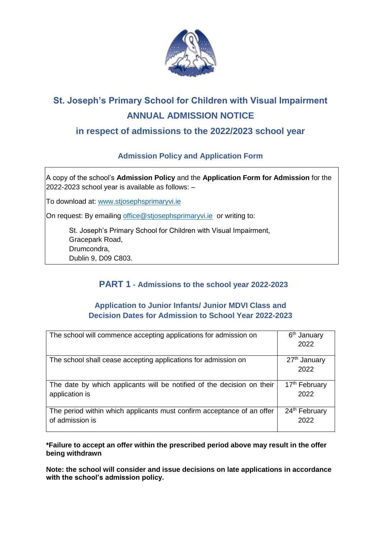

# **St. Joseph's Primary School for Children with Visual Impairment ANNUAL ADMISSION NOTICE**

## **in respect of admissions to the 2022/2023 school year**

### **Admission Policy and Application Form**

A copy of the school's **Admission Policy** and the **Application Form for Admission** for the 2022-2023 school year is available as follows: –

To download at: www.stjosephsprimaryvi.ie

On request: By emailing [office@stjosephsprimaryvi.ie](mailto:office@stjosephsprimaryvi.ie) or writing to:

St. Joseph's Primary School for Children with Visual Impairment, Gracepark Road, Drumcondra, Dublin 9, D09 C803.

# **PART 1 - Admissions to the school year 2022-2023**

#### **Application to Junior Infants/ Junior MDVI Class and Decision Dates for Admission to School Year 2022-2023**

| The school will commence accepting applications for admission on       | 6 <sup>th</sup> January   |
|------------------------------------------------------------------------|---------------------------|
|                                                                        | 2022                      |
|                                                                        |                           |
| The school shall cease accepting applications for admission on         | 27 <sup>th</sup> January  |
|                                                                        | 2022                      |
|                                                                        |                           |
| The date by which applicants will be notified of the decision on their | 17 <sup>th</sup> February |
|                                                                        |                           |
| application is                                                         | 2022                      |
|                                                                        |                           |
| The period within which applicants must confirm acceptance of an offer | 24 <sup>th</sup> February |
| of admission is                                                        | 2022                      |

**\*Failure to accept an offer within the prescribed period above may result in the offer being withdrawn** 

**Note: the school will consider and issue decisions on late applications in accordance with the school's admission policy.**